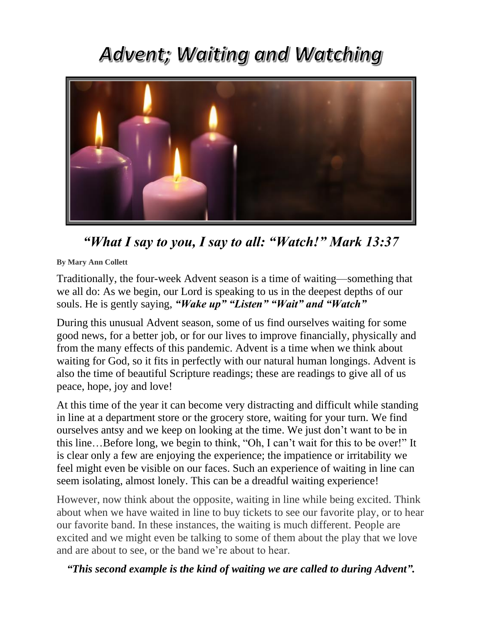## Advent; Waiting and Watching



*"What I say to you, I say to all: "Watch!" Mark 13:37*

**By Mary Ann Collett**

Traditionally, the four-week Advent season is a time of waiting—something that we all do: As we begin, our Lord is speaking to us in the deepest depths of our souls. He is gently saying, *"Wake up" "Listen" "Wait" and "Watch"*

During this unusual Advent season, some of us find ourselves waiting for some good news, for a better job, or for our lives to improve financially, physically and from the many effects of this pandemic. Advent is a time when we think about waiting for God, so it fits in perfectly with our natural human longings. Advent is also the time of beautiful Scripture readings; these are readings to give all of us peace, hope, joy and love!

At this time of the year it can become very distracting and difficult while standing in line at a department store or the grocery store, waiting for your turn. We find ourselves antsy and we keep on looking at the time. We just don't want to be in this line…Before long, we begin to think, "Oh, I can't wait for this to be over!" It is clear only a few are enjoying the experience; the impatience or irritability we feel might even be visible on our faces. Such an experience of waiting in line can seem isolating, almost lonely. This can be a dreadful waiting experience!

However, now think about the opposite, waiting in line while being excited. Think about when we have waited in line to buy tickets to see our favorite play, or to hear our favorite band. In these instances, the waiting is much different. People are excited and we might even be talking to some of them about the play that we love and are about to see, or the band we're about to hear.

*"This second example is the kind of waiting we are called to during Advent".*